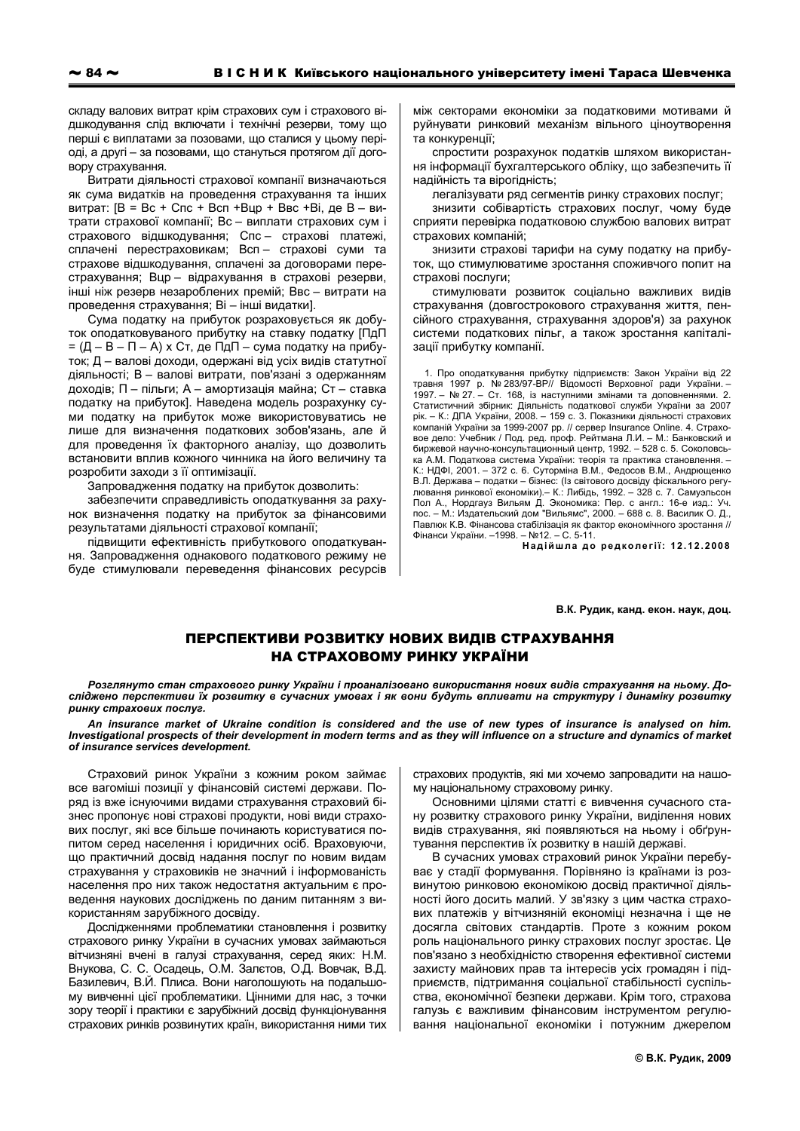складу валових витрат крім страхових сум і страхового відшкодування слід включати і технічні резерви, тому що перші є виплатами за позовами, що сталися у цьому періоді, а другі - за позовами, що стануться протягом дії договору страхування.

Витрати діяльності страхової компанії визначаються як сума видатків на проведення страхування та інших витрат: [B = Bc + Cnc + Bcn + Bup + BBc + Bi, де B - витрати страхової компанії; Вс - виплати страхових сум і страхового відшкодування; Спс - страхові платежі, сплачені перестраховикам; Всп - страхові суми та страхове відшкодування, сплачені за договорами перестрахування; Вцр - відрахування в страхові резерви, інші ніж резерв незароблених премій; Ввс - витрати на проведення страхування: Ві - інші видатки).

Сума податку на прибуток розраховується як добуток оподатковуваного прибутку на ставку податку [ПдП  $=(\Box - B - \Pi - A)$  х Ст. де ПдП – сума податку на прибуток; Д - валові доходи, одержані від усіх видів статутної діяльності; В - валові витрати, пов'язані з одержанням доходів: П - пільги: А - амортизація майна: Ст - ставка податку на прибуток]. Наведена модель розрахунку суми податку на прибуток може використовуватись не лише для визначення податкових зобов'язань, але й для проведення їх факторного аналізу, що дозволить встановити вплив кожного чинника на його величину та розробити заходи з її оптимізації.

Запровадження податку на прибуток дозволить:

забезпечити справедливість оподаткування за рахунок визначення податку на прибуток за фінансовими результатами діяльності страхової компанії:

підвищити ефективність прибуткового оподаткування. Запровадження однакового податкового режиму не буде стимулювали переведення фінансових ресурсів між секторами економіки за податковими мотивами й руйнувати ринковий механізм вільного ціноутворення та конкуренції:

спростити розрахунок податків шляхом використання інформації бухгалтерського обліку, що забезпечить її надійність та вірогідність;

легалізувати ряд сегментів ринку страхових послуг;

знизити собівартість страхових послуг, чому буде сприяти перевірка податковою службою валових витрат страхових компаній:

знизити страхові тарифи на суму податку на прибуток, що стимулюватиме зростання споживчого попит на страхові послуги;

стимулювати розвиток соціально важливих видів страхування (довгострокового страхування життя, пенсійного страхування, страхування здоров'я) за рахунок системи податкових пільг, а також зростання капіталізації прибутку компанії.

1. Про оподаткування прибутку підприємств: Закон України від 22 ... - про отношения примертия правня 1997 р. № 283/97-ВР// Відомості Верховної ради України.<br>- травня 1997 р. № 283/97-ВР// Відомості Верховної ради України.<br>1997 – № 27. – Ст. 168, із наступними змінами та доповненнями. Статистичний збірник: Діяльність податкової служби України за 2007 рік. - К.: ДПА України, 2008. - 159 с. 3. Показники діяльності страхових компаній України за 1999-2007 рр. // сервер Insurance Online. 4. Страхо-<br>вое дело: Учебник / Под. ред. проф. Рейтмана Л.И. – М.: Банковский и биржевой научно-консультационный центр, 1992. - 528 с. 5. Соколовська А.М. Податкова система України: теорія та практика становлення. -К.: НДФІ, 2001. - 372 с. 6. Суторміна В.М., Федосов В.М., Андрющенко В.Л. Держава - податки - бізнес: (Із світового досвіду фіскального регулювання ринкової економіки). - К.: Либідь, 1992. - 328 с. 7. Самуэльсон Пол А., Нордгауз Вильям Д. Экономика: Пер. с англ.: 16-е изд.: Уч.<br>пос. – М.: Издательский дом "Вильямс". 2000. – 688 с. 8. Василик О. Д.. Павлюк К.В. Фінансова стабілізація як фактор економічного зростання // Фінанси України. - 1998. - №12. - С. 5-11.

Надійшла до редколегії: 12.12.2008

В.К. Рудик, канд. екон. наук, доц.

## ПЕРСПЕКТИВИ РОЗВИТКУ НОВИХ ВИДІВ СТРАХУВАННЯ НА СТРАХОВОМУ РИНКУ УКРАЇНИ

Розглянуто стан страхового ринку України і проаналізовано використання нових видів страхування на ньому. Досліджено перспективи їх розвитку в сучасних умовах і як вони будуть впливати на структуру і динаміку розвитку ринку страхових послуг.

An insurance market of Ukraine condition is considered and the use of new types of insurance is analysed on him. Investigational prospects of their development in modern terms and as they will influence on a structure and dynamics of market of insurance services development.

Страховий ринок України з кожним роком займає все вагоміші позиції у фінансовій системі держави. Поряд із вже існуючими видами страхування страховий бізнес пропонує нові страхові продукти, нові види страхових послуг, які все більше починають користуватися попитом серед населення і юридичних осіб. Враховуючи, що практичний досвід надання послуг по новим видам страхування у страховиків не значний і інформованість населення про них також недостатня актуальним є проведення наукових досліджень по даним питанням з використанням зарубіжного досвіду.

Дослідженнями проблематики становлення і розвитку страхового ринку України в сучасних умовах займаються вітчизняні вчені в галузі страхування, серед яких: Н.М. Внукова, С. С. Осадець, О.М. Залетов, О.Д. Вовчак, В.Д. Базилевич, В.Й. Плиса. Вони наголошують на подальшому вивченні цієї проблематики. Цінними для нас, з точки зору теорії і практики є зарубіжний досвід функціонування страхових ринків розвинутих країн, використання ними тих страхових продуктів, які ми хочемо запровадити на нашому національному страховому ринку.

Основними цілями статті є вивчення сучасного стану розвитку страхового ринку України, виділення нових видів страхування, які появляються на ньому і обґрунтування перспектив їх розвитку в нашій державі.

В сучасних умовах страховий ринок України перебуває у стадії формування. Порівняно із країнами із розвинутою ринковою економікою досвід практичної діяльності його досить малий. У зв'язку з цим частка страхових платежів у вітчизняній економіці незначна і ще не досягла світових стандартів. Проте з кожним роком роль національного ринку страхових послуг зростає. Це пов'язано з необхідністю створення ефективної системи захисту майнових прав та інтересів усіх громадян і підприємств, підтримання соціальної стабільності суспільства, економічної безпеки держави. Крім того, страхова галузь є важливим фінансовим інструментом регулювання національної економіки і потужним джерелом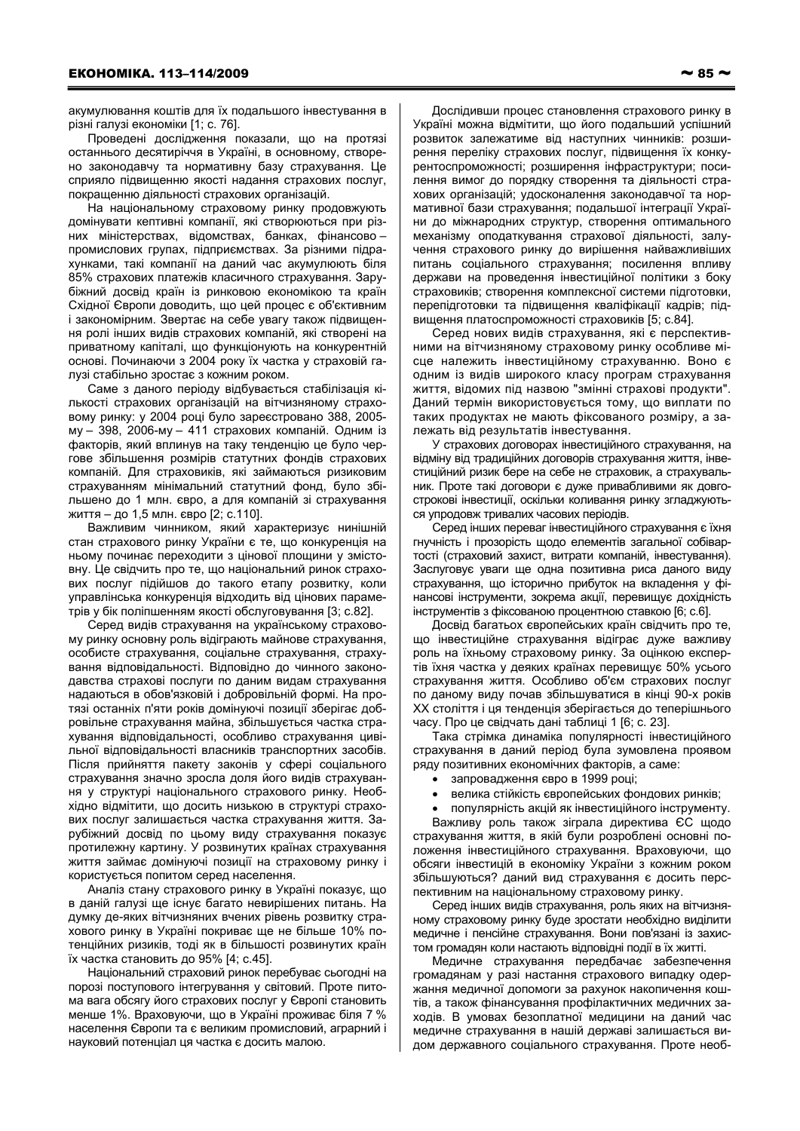акумулювання коштів для їх подальшого інвестування в різні галузі економіки [1; с. 76].

Проведені дослідження показали, що на протязі останнього десятиріччя в Україні, в основному, створено законодавчу та нормативну базу страхування. Це сприяло підвищенню якості надання страхових послуг, покращенню діяльності страхових організацій.

На національному страховому ринку продовжують домінувати кептивні компанії, які створюються при різних міністерствах, відомствах, банках, фінансовопромислових групах, підприємствах. За різними підрахунками, такі компанії на даний час акумулюють біля 85% страхових платежів класичного страхування. Зарубіжний досвід країн із ринковою економікою та країн Східної Європи доводить, що цей процес є об'єктивним і закономірним. Звертає на себе увагу також підвищення ролі інших видів страхових компаній, які створені на приватному капіталі, що функціонують на конкурентній основі. Починаючи з 2004 року їх частка у страховій галузі стабільно зростає з кожним роком.

Саме з даного періоду відбувається стабілізація кількості страхових організацій на вітчизняному страховому ринку: у 2004 році було зареєстровано 388, 2005му - 398, 2006-му - 411 страхових компаній. Одним із факторів, який вплинув на таку тенденцію це було чергове збільшення розмірів статутних фондів страхових компаній. Для страховиків, які займаються ризиковим страхуванням мінімальний статутний фонд, було збільшено до 1 млн. євро, а для компаній зі страхування життя - до 1,5 млн. євро [2; с.110].

Важливим чинником, який характеризує нинішній стан страхового ринку України є те, що конкуренція на ньому починає переходити з цінової площини у змістовну. Це свідчить про те, що національний ринок страхових послуг підійшов до такого етапу розвитку, коли управлінська конкуренція відходить від цінових параметрів у бік поліпшенням якості обслуговування [3; с.82].

Серед видів страхування на українському страховому ринку основну роль відіграють майнове страхування, особисте страхування, соціальне страхування, страхування відповідальності. Відповідно до чинного законодавства страхові послуги по даним видам страхування надаються в обов'язковій і добровільній формі. На протязі останніх п'яти років домінуючі позиції зберігає добровільне страхування майна, збільшується частка страхування відповідальності, особливо страхування цивільної відповідальності власників транспортних засобів. Після прийняття пакету законів у сфері соціального страхування значно зросла доля його видів страхування у структурі національного страхового ринку. Необхідно відмітити, що досить низькою в структурі страхових послуг залишається частка страхування життя. Зарубіжний досвід по цьому виду страхування показує протилежну картину. У розвинутих країнах страхування життя займає домінуючі позиції на страховому ринку і користується попитом серед населення.

Аналіз стану страхового ринку в Україні показує, що в даній галузі ще існує багато невирішених питань. На думку де-яких вітчизняних вчених рівень розвитку страхового ринку в Україні покриває ще не більше 10% потенційних ризиків, тоді як в більшості розвинутих країн їх частка становить до 95% [4; с.45].

Національний страховий ринок перебуває сьогодні на порозі поступового інтегрування у світовий. Проте питома вага обсягу його страхових послуг у Європі становить менше 1%. Враховуючи, що в Україні проживає біля 7 % населення Європи та є великим промисловий, аграрний і науковий потенціал ця частка є досить малою.

Дослідивши процес становлення страхового ринку в Україні можна відмітити, що його подальший успішний розвиток залежатиме від наступних чинників: розширення переліку страхових послуг, підвищення їх конкурентоспроможності; розширення інфраструктури; посилення вимог до порядку створення та діяльності страхових організацій; удосконалення законодавчої та нормативної бази страхування; подальшої інтеграції України до міжнародних структур, створення оптимального механізму оподаткування страхової діяльності, залучення страхового ринку до вирішення найважливіших питань соціального страхування; посилення впливу держави на проведення інвестиційної політики з боку страховиків: створення комплексної системи підготовки. перепідготовки та підвищення кваліфікації кадрів: підвищення платоспроможності страховиків [5; с.84].

Серед нових видів страхування, які є перспективними на вітчизняному страховому ринку особливе місце належить інвестиційному страхуванню. Воно є одним із видів широкого класу програм страхування життя, відомих під назвою "змінні страхові продукти". Даний термін використовується тому, що виплати по таких продуктах не мають фіксованого розміру, а залежать від результатів інвестування.

У страхових договорах інвестиційного страхування, на відміну від традиційних договорів страхування життя, інвестиційний ризик бере на себе не страховик, а страхувальник. Проте такі договори є дуже привабливими як довгострокові інвестиції, оскільки коливання ринку згладжуються упродовж тривалих часових періодів.

Серед інших переваг інвестиційного страхування є їхня гнучність і прозорість щодо елементів загальної собівартості (страховий захист, витрати компаній, інвестування). Заслуговує уваги ще одна позитивна риса даного виду страхування, що історично прибуток на вкладення у фінансові інструменти, зокрема акції, перевищує дохідність інструментів з фіксованою процентною ставкою [6; с.6].

Досвід багатьох європейських країн свідчить про те, що інвестиційне страхування відіграє дуже важливу роль на їхньому страховому ринку. За оцінкою експертів їхня частка у деяких країнах перевищує 50% усього страхування життя. Особливо об'єм страхових послуг по даному виду почав збільшуватися в кінці 90-х років XX століття і ця тенденція зберігається до теперішнього часу. Про це свідчать дані таблиці 1 [6; с. 23].

Така стрімка динаміка популярності інвестиційного страхування в даний період була зумовлена проявом ряду позитивних економічних факторів, а саме:

- запровадження євро в 1999 році;
- $\bullet$ велика стійкість європейських фондових ринків;
- популярність акцій як інвестиційного інструменту.

Важливу роль також зіграла директива ЄС щодо страхування життя, в якій були розроблені основні положення інвестиційного страхування. Враховуючи, що обсяги інвестицій в економіку України з кожним роком збільшуються? даний вид страхування є досить перспективним на національному страховому ринку.

Серед інших видів страхування, роль яких на вітчизняному страховому ринку буде зростати необхідно виділити медичне і пенсійне страхування. Вони пов'язані із захистом громадян коли настають відповідні події в їх житті.

Медичне страхування передбачає забезпечення громадянам у разі настання страхового випадку одержання медичної допомоги за рахунок накопичення коштів, а також фінансування профілактичних медичних заходів. В умовах безоплатної медицини на даний час медичне страхування в нашій державі залишається видом державного соціального страхування. Проте необ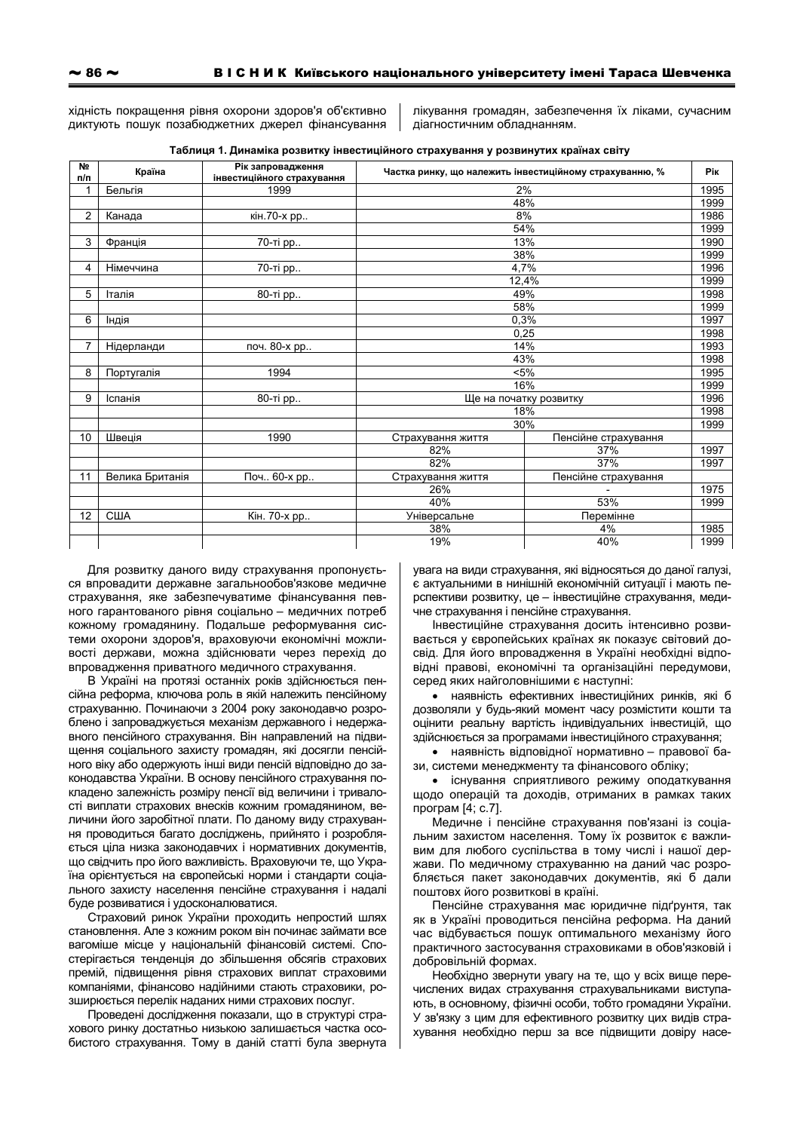хідність покращення рівня охорони здоров'я об'єктивно диктують пошук позабюджетних джерел фінансування

лікування громадян, забезпечення їх ліками, сучасним діагностичним обладнанням.

|  | Таблиця 1. Динаміка розвитку інвестиційного страхування у розвинутих країнах світу |  |
|--|------------------------------------------------------------------------------------|--|
|--|------------------------------------------------------------------------------------|--|

| Nº<br>п/п       | Країна          | Рік запровадження<br>інвестиційного страхування | Частка ринку, що належить інвестиційному страхуванню, % |                      | <b>Pik</b> |
|-----------------|-----------------|-------------------------------------------------|---------------------------------------------------------|----------------------|------------|
| 1               | Бельгія         | 1999                                            | 2%                                                      |                      | 1995       |
|                 |                 |                                                 |                                                         | 48%                  | 1999       |
| $\overline{c}$  | Канада          | кін. 70-х рр                                    | 8%                                                      |                      | 1986       |
|                 |                 |                                                 | 54%                                                     |                      | 1999       |
| 3               | Франція         | 70-ті рр                                        | 13%                                                     |                      | 1990       |
|                 |                 |                                                 | 38%                                                     |                      | 1999       |
| 4<br>Німеччина  |                 | 70-ті рр                                        | 4,7%                                                    |                      | 1996       |
|                 |                 |                                                 | 12,4%                                                   |                      | 1999       |
| 5<br>Італія     |                 | 80-ті рр                                        | 49%                                                     |                      | 1998       |
|                 |                 |                                                 | 58%                                                     |                      | 1999       |
| 6               | Індія           |                                                 | 0.3%                                                    |                      | 1997       |
|                 |                 |                                                 | 0,25                                                    |                      | 1998       |
| 7               | Нідерланди      | 14%<br>поч. 80-х рр                             |                                                         |                      | 1993       |
|                 |                 |                                                 | 43%                                                     |                      | 1998       |
| 8<br>Португалія |                 | 1994                                            | $< 5\%$                                                 |                      | 1995       |
|                 |                 |                                                 | 16%                                                     |                      | 1999       |
| 9               | Іспанія         | 80-ті рр                                        | Ще на початку розвитку                                  |                      | 1996       |
|                 |                 |                                                 | 18%                                                     |                      | 1998       |
|                 |                 |                                                 | 30%                                                     |                      | 1999       |
| 10              | Швеція          | 1990                                            | Страхування життя                                       | Пенсійне страхування |            |
|                 |                 |                                                 | 82%                                                     | 37%                  | 1997       |
|                 |                 |                                                 | 82%                                                     | 37%                  | 1997       |
| 11              | Велика Британія | Поч 60-х рр                                     | Страхування життя                                       | Пенсійне страхування |            |
|                 |                 |                                                 | 26%                                                     |                      | 1975       |
|                 |                 |                                                 | 40%                                                     | 53%                  | 1999       |
| 12              | США             | Кін. 70-х рр                                    | <b>Універсальне</b>                                     | Перемінне            |            |
|                 |                 |                                                 | 38%                                                     | 4%                   | 1985       |
|                 |                 |                                                 | 19%                                                     | 40%                  | 1999       |

Для розвитку даного виду страхування пропонується впровадити державне загальнообов'язкове медичне страхування, яке забезпечуватиме фінансування певного гарантованого рівня соціально - медичних потреб кожному громадянину. Подальше реформування системи охорони здоров'я, враховуючи економічні можливості держави, можна здійснювати через перехід до впровадження приватного медичного страхування.

В Україні на протязі останніх років здійснюється пенсійна реформа, ключова роль в якій належить пенсійному страхуванню. Починаючи з 2004 року законодавчо розроблено і запроваджується механізм державного і недержавного пенсійного страхування. Він направлений на підвищення соціального захисту громадян, які досягли пенсійного віку або одержують інші види пенсій відповідно до законодавства України. В основу пенсійного страхування покладено залежність розміру пенсії від величини і тривалості виплати страхових внесків кожним громадянином, величини його заробітної плати. По даному виду страхування проводиться багато досліджень, прийнято і розробляється ціла низка законодавчих і нормативних документів, що свідчить про його важливість. Враховуючи те, що Україна орієнтується на європейські норми і стандарти соціального захисту населення пенсійне страхування і надалі буде розвиватися і удосконалюватися.

Страховий ринок України проходить непростий шлях становлення. Але з кожним роком він починає займати все вагоміше місце у національній фінансовій системі. Спостерігається тенденція до збільшення обсягів страхових премій, підвищення рівня страхових виплат страховими компаніями, фінансово надійними стають страховики, розширюється перелік наданих ними страхових послуг.

Проведені дослідження показали, що в структурі страхового ринку достатньо низькою залишається частка особистого страхування. Тому в даній статті була звернута увага на види страхування, які відносяться до даної галузі, є актуальними в нинішній економічній ситуації і мають перспективи розвитку, це - інвестиційне страхування, медичне страхування і пенсійне страхування.

Інвестиційне страхування досить інтенсивно розвивається у європейських країнах як показує світовий досвід. Для його впровадження в Україні необхідні відповідні правові, економічні та організаційні передумови, серед яких найголовнішими є наступні:

• наявність ефективних інвестиційних ринків, які б дозволяли у будь-який момент часу розмістити кошти та оцінити реальну вартість індивідуальних інвестицій, що здійснюється за програмами інвестиційного страхування;

• наявність відповідної нормативно - правової бази, системи менеджменту та фінансового обліку;

• існування сприятливого режиму оподаткування щодо операцій та доходів, отриманих в рамках таких програм [4; с. 7].

Медичне і пенсійне страхування пов'язані із соціальним захистом населення. Тому їх розвиток є важливим для любого суспільства в тому числі і нашої держави. По медичному страхуванню на даний час розробляється пакет законодавчих документів, які б дали поштовх його розвиткові в країні.

Пенсійне страхування має юридичне підґрунтя, так як в Україні проводиться пенсійна реформа. На даний час відбувається пошук оптимального механізму його практичного застосування страховиками в обов'язковій і добровільній формах.

Необхідно звернути увагу на те, що у всіх вище перечислених видах страхування страхувальниками виступають, в основному, фізичні особи, тобто громадяни України. У зв'язку з цим для ефективного розвитку цих видів страхування необхідно перш за все підвищити довіру насе